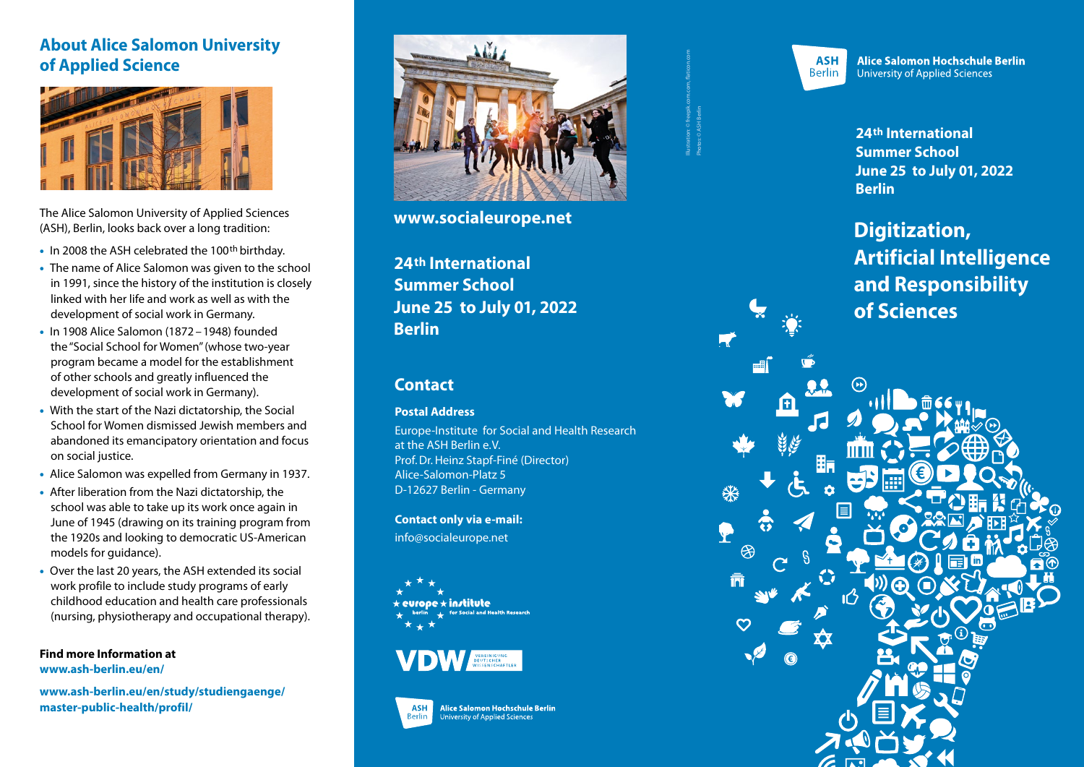### **About Alice Salomon University of Applied Science**



The Alice Salomon University of Applied Sciences (ASH), Berlin, looks back over a long tradition:

- In 2008 the ASH celebrated the 100<sup>th</sup> birthday.
- The name of Alice Salomon was given to the school in 1991, since the history of the institution is closely linked with her life and work as well as with the development of social work in Germany.
- In 1908 Alice Salomon (1872 –1948) founded the "Social School for Women" (whose two-year program became a model for the establishment of other schools and greatly influenced the development of social work in Germany).
- With the start of the Nazi dictatorship, the Social School for Women dismissed Jewish members and abandoned its emancipatory orientation and focus on social justice.
- Alice Salomon was expelled from Germany in 1937.
- After liberation from the Nazi dictatorship, the school was able to take up its work once again in June of 1945 (drawing on its training program from the 1920s and looking to democratic US-American models for guidance).
- Over the last 20 years, the ASH extended its social work profile to include study programs of early childhood education and health care professionals (nursing, physiotherapy and occupational therapy).

**Find more Information at [www.ash-berlin.eu/en/](https://www.ash-berlin.eu/en/)**

**[www.ash-berlin.eu/en/study/studiengaenge/](https://www.ash-berlin.eu/en/study/studiengaenge/master-public-health/profil/) [master-public-health/profil/](https://www.ash-berlin.eu/en/study/studiengaenge/master-public-health/profil/)**



**[www.socialeurope.net](https://www.socialeurope.net/)**

**24th International Summer School June 25 to July 01, 2022 Berlin**

#### **Contact**

#### **Postal Address**

Europe-Institute for Social and Health Research at the ASH Berlin e.V. Prof. Dr. Heinz Stapf-Finé (Director) Alice-Salomon-Platz 5 D-12627 Berlin - Germany

**Contact only via e-mail:**

info@socialeurope.net

 $\star$  in/titute





Illustration: © freepik.com.com, flaticon.com Photos: © ASH Berlin



Alice Salomon Hochschule Berlin **University of Applied Sciences** 

**24th International Summer School June 25 to July 01, 2022 Berlin**

**Digitization, Artificial Intelligence and Responsibility of Sciences**